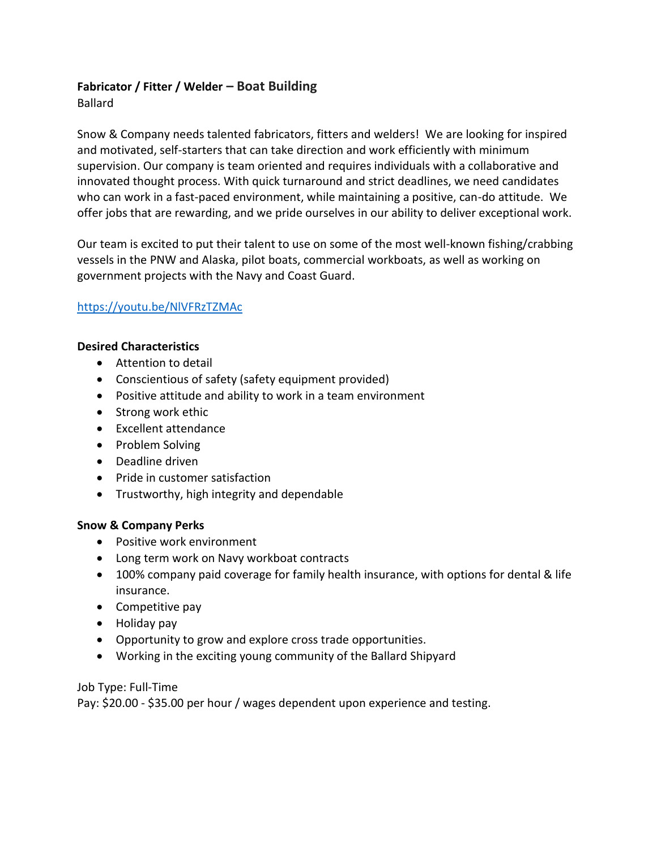# **Fabricator / Fitter / Welder – Boat Building**

Ballard

Snow & Company needs talented fabricators, fitters and welders! We are looking for inspired and motivated, self-starters that can take direction and work efficiently with minimum supervision. Our company is team oriented and requires individuals with a collaborative and innovated thought process. With quick turnaround and strict deadlines, we need candidates who can work in a fast-paced environment, while maintaining a positive, can-do attitude. We offer jobs that are rewarding, and we pride ourselves in our ability to deliver exceptional work.

Our team is excited to put their talent to use on some of the most well-known fishing/crabbing vessels in the PNW and Alaska, pilot boats, commercial workboats, as well as working on government projects with the Navy and Coast Guard.

## <https://youtu.be/NlVFRzTZMAc>

#### **Desired Characteristics**

- Attention to detail
- Conscientious of safety (safety equipment provided)
- Positive attitude and ability to work in a team environment
- Strong work ethic
- Excellent attendance
- Problem Solving
- Deadline driven
- Pride in customer satisfaction
- Trustworthy, high integrity and dependable

## **Snow & Company Perks**

- Positive work environment
- Long term work on Navy workboat contracts
- 100% company paid coverage for family health insurance, with options for dental & life insurance.
- Competitive pay
- Holiday pay
- Opportunity to grow and explore cross trade opportunities.
- Working in the exciting young community of the Ballard Shipyard

## Job Type: Full-Time

Pay: \$20.00 - \$35.00 per hour / wages dependent upon experience and testing.